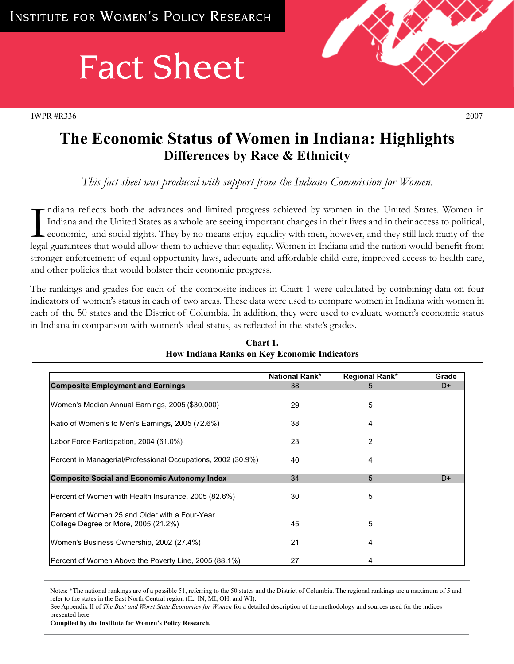# **Fact Sheet**

IWPR  $\#\text{R}336$  2007



## **The Economic Status of Women in Indiana: Highlights Differences by Race & Ethnicity**

*This fact sheet was produced with support from the Indiana Commission for Women.*

Indiana reflects both the advances and limited progress achieved by women in the United States. Women in Indiana and the United States as a whole are seeing important changes in their lives and in their access to political ndiana reflects both the advances and limited progress achieved by women in the United States. Women in Indiana and the United States as a whole are seeing important changes in their lives and in their access to political, economic, and social rights. They by no means enjoy equality with men, however, and they still lack many of the stronger enforcement of equal opportunity laws, adequate and affordable child care, improved access to health care, and other policies that would bolster their economic progress.

The rankings and grades for each of the composite indices in Chart 1 were calculated by combining data on four indicators of women's status in each of two areas. These data were used to compare women in Indiana with women in each of the 50 states and the District of Columbia. In addition, they were used to evaluate women's economic status in Indiana in comparison with women's ideal status, as reflected in the state's grades.

|                                                                                         | <b>National Rank*</b> | <b>Regional Rank*</b> | Grade |
|-----------------------------------------------------------------------------------------|-----------------------|-----------------------|-------|
| <b>Composite Employment and Earnings</b>                                                | 38                    | 5                     | D+    |
| Women's Median Annual Earnings, 2005 (\$30,000)                                         | 29                    | 5                     |       |
| Ratio of Women's to Men's Earnings, 2005 (72.6%)                                        | 38                    | 4                     |       |
| Labor Force Participation, 2004 (61.0%)                                                 | 23                    | 2                     |       |
| Percent in Managerial/Professional Occupations, 2002 (30.9%)                            | 40                    | 4                     |       |
| <b>Composite Social and Economic Autonomy Index</b>                                     | 34                    | 5                     | D+    |
| Percent of Women with Health Insurance, 2005 (82.6%)                                    | 30                    | 5                     |       |
| lPercent of Women 25 and Older with a Four-Year<br>College Degree or More, 2005 (21.2%) | 45                    | 5                     |       |
| Women's Business Ownership, 2002 (27.4%)                                                | 21                    | 4                     |       |
| Percent of Women Above the Poverty Line, 2005 (88.1%)                                   | 27                    | 4                     |       |

#### **Chart 1. How Indiana Ranks on Key Economic Indicators**

Notes: \*The national rankings are of a possible 51, referring to the 50 states and the District of Columbia. The regional rankings are a maximum of 5 and refer to the states in the East North Central region (IL, IN, MI, OH, and WI).

See Appendix II of *The Best and Worst State Economies for Women* for a detailed description of the methodology and sources used for the indices presented here.

**Compiled by the Institute for Women's Policy Research.**